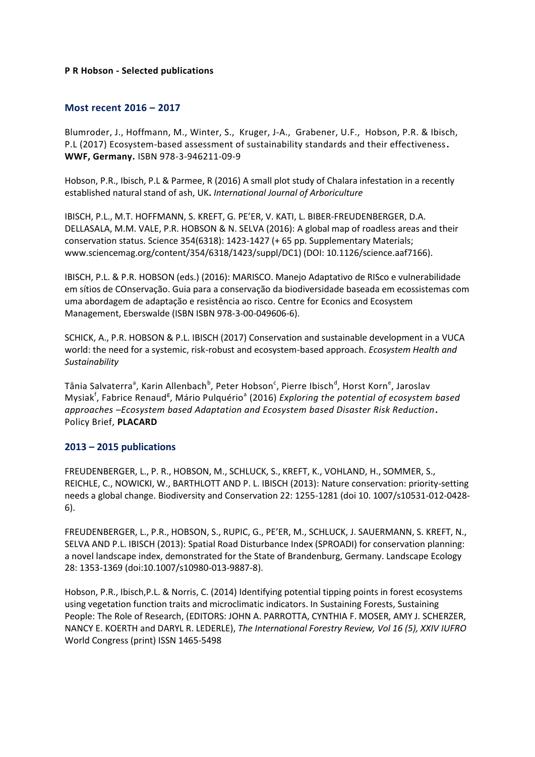### **P R Hobson - Selected publications**

## **Most recent 2016 – 2017**

Blumroder, J., Hoffmann, M., Winter, S., Kruger, J-A., Grabener, U.F., Hobson, P.R. & Ibisch, P.L (2017) Ecosystem-based assessment of sustainability standards and their effectiveness**. WWF, Germany.** ISBN 978-3-946211-09-9

Hobson, P.R., Ibisch, P.L & Parmee, R (2016) A small plot study of Chalara infestation in a recently established natural stand of ash, UK**.** *International Journal of Arboriculture*

IBISCH, P.L., M.T. HOFFMANN, S. KREFT, G. PE'ER, V. KATI, L. BIBER-FREUDENBERGER, D.A. DELLASALA, M.M. VALE, P.R. HOBSON & N. SELVA (2016): A global map of roadless areas and their conservation status. Science 354(6318): 1423-1427 (+ 65 pp. Supplementary Materials; www.sciencemag.org/content/354/6318/1423/suppl/DC1) (DOI: 10.1126/science.aaf7166).

IBISCH, P.L. & P.R. HOBSON (eds.) (2016): MARISCO. Manejo Adaptativo de RISco e vulnerabilidade em sítios de COnservação. Guia para a conservação da biodiversidade baseada em ecossistemas com uma abordagem de adaptação e resistência ao risco. Centre for Econics and Ecosystem Management, Eberswalde (ISBN ISBN 978-3-00-049606-6).

SCHICK, A., P.R. HOBSON & P.L. IBISCH (2017) Conservation and sustainable development in a VUCA world: the need for a systemic, risk-robust and ecosystem-based approach. *Ecosystem Health and Sustainability*

Tânia Salvaterra<sup>a</sup>, Karin Allenbach<sup>b</sup>, Peter Hobson<sup>c</sup>, Pierre Ibisch<sup>d</sup>, Horst Korn<sup>e</sup>, Jaroslav Mysiak<sup>f</sup>, Fabrice Renaud<sup>g</sup>, Mário Pulquério<sup>a</sup> (2016) Exploring the potential of ecosystem based *approaches –Ecosystem based Adaptation and Ecosystem based Disaster Risk Reduction***.**  Policy Brief, **PLACARD**

## **2013 – 2015 publications**

FREUDENBERGER, L., P. R., HOBSON, M., SCHLUCK, S., KREFT, K., VOHLAND, H., SOMMER, S., REICHLE, C., NOWICKI, W., BARTHLOTT AND P. L. IBISCH (2013): Nature conservation: priority-setting needs a global change. Biodiversity and Conservation 22: 1255-1281 (doi 10. 1007/s10531-012-0428- 6).

FREUDENBERGER, L., P.R., HOBSON, S., RUPIC, G., PE'ER, M., SCHLUCK, J. SAUERMANN, S. KREFT, N., SELVA AND P.L. IBISCH (2013): Spatial Road Disturbance Index (SPROADI) for conservation planning: a novel landscape index, demonstrated for the State of Brandenburg, Germany. Landscape Ecology 28: 1353-1369 (doi:10.1007/s10980-013-9887-8).

Hobson, P.R., Ibisch,P.L. & Norris, C. (2014) Identifying potential tipping points in forest ecosystems using vegetation function traits and microclimatic indicators. In Sustaining Forests, Sustaining People: The Role of Research, (EDITORS: JOHN A. PARROTTA, CYNTHIA F. MOSER, AMY J. SCHERZER, NANCY E. KOERTH and DARYL R. LEDERLE), *The International Forestry Review, Vol 16 (5), XXIV IUFRO* World Congress (print) ISSN 1465-5498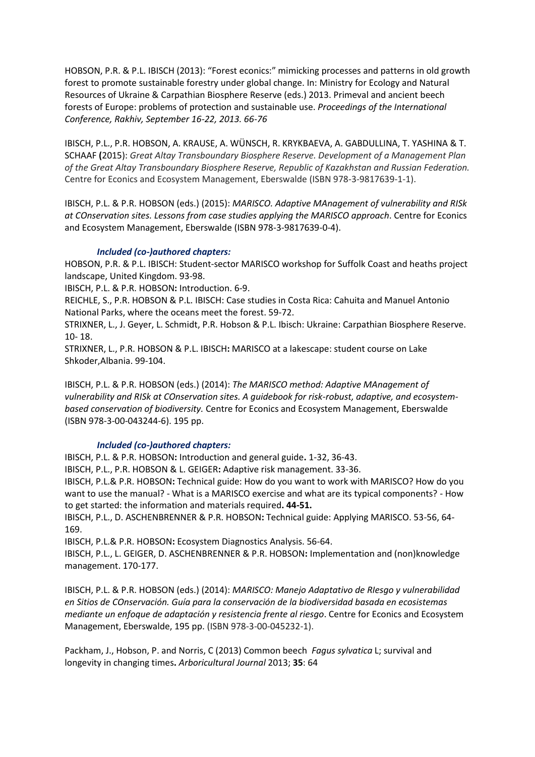HOBSON, P.R. & P.L. IBISCH (2013): "Forest econics:" mimicking processes and patterns in old growth forest to promote sustainable forestry under global change. In: Ministry for Ecology and Natural Resources of Ukraine & Carpathian Biosphere Reserve (eds.) 2013. Primeval and ancient beech forests of Europe: problems of protection and sustainable use. *Proceedings of the International Conference, Rakhiv, September 16-22, 2013. 66-76*

IBISCH, P.L., P.R. HOBSON, A. KRAUSE, A. WÜNSCH, R. KRYKBAEVA, A. GABDULLINA, T. YASHINA & T. SCHAAF **(**2015): *Great Altay Transboundary Biosphere Reserve. Development of a Management Plan of the Great Altay Transboundary Biosphere Reserve, Republic of Kazakhstan and Russian Federation.* Centre for Econics and Ecosystem Management, Eberswalde (ISBN 978-3-9817639-1-1).

IBISCH, P.L. & P.R. HOBSON (eds.) (2015): *MARISCO. Adaptive MAnagement of vulnerability and RISk at COnservation sites. Lessons from case studies applying the MARISCO approach*. Centre for Econics and Ecosystem Management, Eberswalde (ISBN 978-3-9817639-0-4).

### *Included (co-)authored chapters:*

HOBSON, P.R. & P.L. IBISCH: Student-sector MARISCO workshop for Suffolk Coast and heaths project landscape, United Kingdom. 93-98.

IBISCH, P.L. & P.R. HOBSON**:** Introduction. 6-9.

REICHLE, S., P.R. HOBSON & P.L. IBISCH: Case studies in Costa Rica: Cahuita and Manuel Antonio National Parks, where the oceans meet the forest. 59-72.

STRIXNER, L., J. Geyer, L. Schmidt, P.R. Hobson & P.L. Ibisch: Ukraine: Carpathian Biosphere Reserve. 10- 18.

STRIXNER, L., P.R. HOBSON & P.L. IBISCH**:** MARISCO at a lakescape: student course on Lake Shkoder,Albania. 99-104.

IBISCH, P.L. & P.R. HOBSON (eds.) (2014): *The MARISCO method: Adaptive MAnagement of vulnerability and RISk at COnservation sites. A guidebook for risk-robust, adaptive, and ecosystembased conservation of biodiversity.* Centre for Econics and Ecosystem Management, Eberswalde (ISBN 978-3-00-043244-6). 195 pp.

### *Included (co-)authored chapters:*

IBISCH, P.L. & P.R. HOBSON**:** Introduction and general guide**.** 1-32, 36-43.

IBISCH, P.L., P.R. HOBSON & L. GEIGER**:** Adaptive risk management. 33-36.

IBISCH, P.L.& P.R. HOBSON**:** Technical guide: How do you want to work with MARISCO? How do you want to use the manual? - What is a MARISCO exercise and what are its typical components? - How to get started: the information and materials required**. 44-51.**

IBISCH, P.L., D. ASCHENBRENNER & P.R. HOBSON**:** Technical guide: Applying MARISCO. 53-56, 64- 169.

IBISCH, P.L.& P.R. HOBSON**:** Ecosystem Diagnostics Analysis. 56-64.

IBISCH, P.L., L. GEIGER, D. ASCHENBRENNER & P.R. HOBSON**:** Implementation and (non)knowledge management. 170-177.

IBISCH, P.L. & P.R. HOBSON (eds.) (2014): *MARISCO: Manejo Adaptativo de RIesgo y vulnerabilidad en Sitios de COnservación. Guía para la conservación de la biodiversidad basada en ecosistemas mediante un enfoque de adaptación y resistencia frente al riesgo*. Centre for Econics and Ecosystem Management, Eberswalde, 195 pp. (ISBN 978-3-00-045232-1).

Packham, J., Hobson, P. and Norris, C (2013) Common beech *Fagus sylvatica* L; survival and longevity in changing times**.** *Arboricultural Journal* 2013; **35**: 64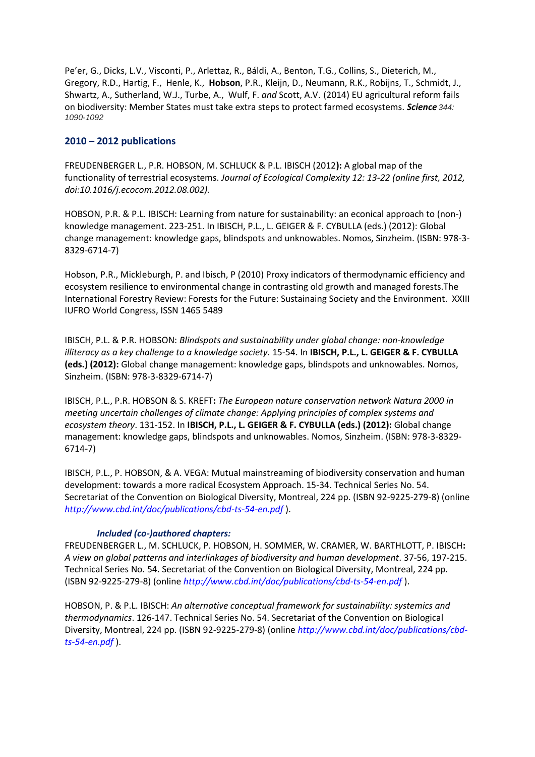Pe'er, G., Dicks, L.V., Visconti, P., Arlettaz, R., Báldi, A., Benton, T.G., Collins, S., Dieterich, M., Gregory, R.D., Hartig, F., Henle, K., **Hobson**, P.R., Kleijn, D., Neumann, R.K., Robijns, T., Schmidt, J., Shwartz, A., Sutherland, W.J., Turbe, A., Wulf, F. *and* Scott, A.V. (2014) EU agricultural reform fails on biodiversity: Member States must take extra steps to protect farmed ecosystems. *Science 344: 1090-1092*

# **2010 – 2012 publications**

FREUDENBERGER L., P.R. HOBSON, M. SCHLUCK & P.L. IBISCH (2012**):** A global map of the functionality of terrestrial ecosystems. *Journal of Ecological Complexity 12: 13-22 (online first, 2012, doi:10.1016/j.ecocom.2012.08.002).*

HOBSON, P.R. & P.L. IBISCH: Learning from nature for sustainability: an econical approach to (non-) knowledge management. 223-251. In IBISCH, P.L., L. GEIGER & F. CYBULLA (eds.) (2012): Global change management: knowledge gaps, blindspots and unknowables. Nomos, Sinzheim. (ISBN: 978-3- 8329-6714-7)

Hobson, P.R., Mickleburgh, P. and Ibisch, P (2010) Proxy indicators of thermodynamic efficiency and ecosystem resilience to environmental change in contrasting old growth and managed forests.The International Forestry Review: Forests for the Future: Sustainaing Society and the Environment. XXIII IUFRO World Congress, ISSN 1465 5489

IBISCH, P.L. & P.R. HOBSON: *Blindspots and sustainability under global change: non-knowledge illiteracy as a key challenge to a knowledge society*. 15-54. In **IBISCH, P.L., L. GEIGER & F. CYBULLA (eds.) (2012):** Global change management: knowledge gaps, blindspots and unknowables. Nomos, Sinzheim. (ISBN: 978-3-8329-6714-7)

IBISCH, P.L., P.R. HOBSON & S. KREFT**:** *The European nature conservation network Natura 2000 in meeting uncertain challenges of climate change: Applying principles of complex systems and ecosystem theory*. 131-152. In **IBISCH, P.L., L. GEIGER & F. CYBULLA (eds.) (2012):** Global change management: knowledge gaps, blindspots and unknowables. Nomos, Sinzheim. (ISBN: 978-3-8329- 6714-7)

IBISCH, P.L., P. HOBSON, & A. VEGA: Mutual mainstreaming of biodiversity conservation and human development: towards a more radical Ecosystem Approach. 15-34. Technical Series No. 54. Secretariat of the Convention on Biological Diversity, Montreal, 224 pp. (ISBN 92-9225-279-8) (online *http://www.cbd.int/doc/publications/cbd-ts-54-en.pdf* ).

# *Included (co-)authored chapters:*

FREUDENBERGER L., M. SCHLUCK, P. HOBSON, H. SOMMER, W. CRAMER, W. BARTHLOTT, P. IBISCH**:**  *A view on global patterns and interlinkages of biodiversity and human development*. 37-56, 197-215. Technical Series No. 54. Secretariat of the Convention on Biological Diversity, Montreal, 224 pp. (ISBN 92-9225-279-8) (online *http://www.cbd.int/doc/publications/cbd-ts-54-en.pdf* ).

HOBSON, P. & P.L. IBISCH: *An alternative conceptual framework for sustainability: systemics and thermodynamics*. 126-147. Technical Series No. 54. Secretariat of the Convention on Biological Diversity, Montreal, 224 pp. (ISBN 92-9225-279-8) (online *http://www.cbd.int/doc/publications/cbdts-54-en.pdf* ).